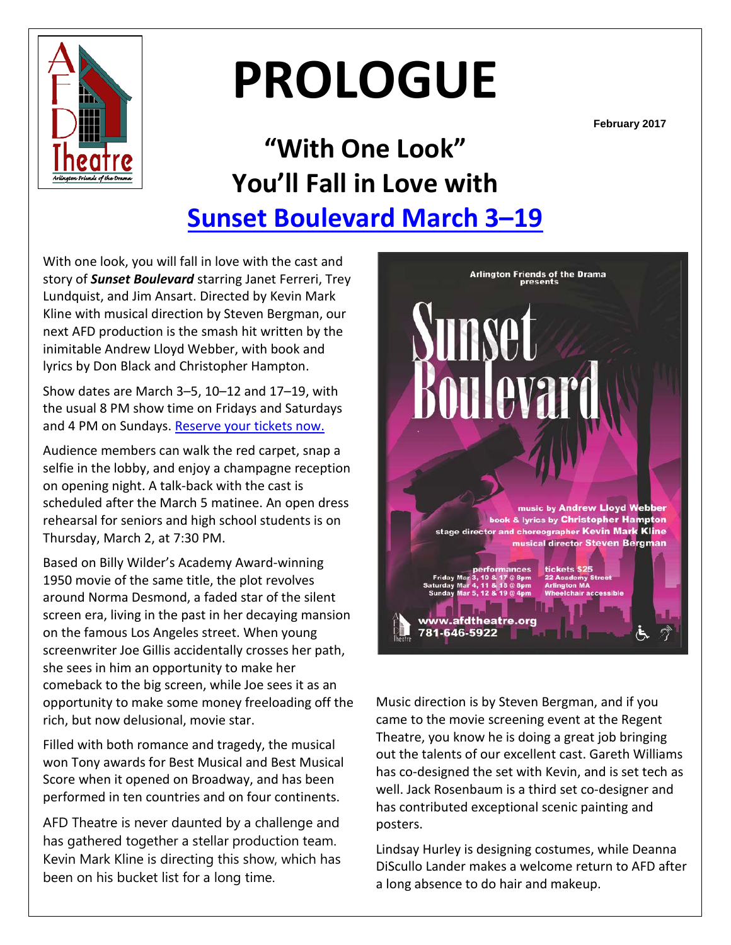

# **PROLOGUE**

**February 2017**

# **"With One Look" You'll Fall in Love with [Sunset Boulevard](http://www.afdtheatre.org/up-next) March 3–19**

With one look, you will fall in love with the cast and story of *Sunset Boulevard* starring Janet Ferreri, Trey Lundquist, and Jim Ansart. Directed by Kevin Mark Kline with musical direction by Steven Bergman, our next AFD production is the smash hit written by the inimitable Andrew Lloyd Webber, with book and lyrics by Don Black and Christopher Hampton.

Show dates are March 3–5, 10–12 and 17–19, with the usual 8 PM show time on Fridays and Saturdays and 4 PM on Sundays. [Reserve your tickets now.](http://www.ticketstage.com/T/AFD)

Audience members can walk the red carpet, snap a selfie in the lobby, and enjoy a champagne reception on opening night. A talk-back with the cast is scheduled after the March 5 matinee. An open dress rehearsal for seniors and high school students is on Thursday, March 2, at 7:30 PM.

Based on Billy Wilder's Academy Award-winning 1950 movie of the same title, the plot revolves around Norma Desmond, a faded star of the silent screen era, living in the past in her decaying mansion on the famous Los Angeles street. When young screenwriter Joe Gillis accidentally crosses her path, she sees in him an opportunity to make her comeback to the big screen, while Joe sees it as an opportunity to make some money freeloading off the rich, but now delusional, movie star.

Filled with both romance and tragedy, the musical won Tony awards for Best Musical and Best Musical Score when it opened on Broadway, and has been performed in ten countries and on four continents.

AFD Theatre is never daunted by a challenge and has gathered together a stellar production team. Kevin Mark Kline is directing this show, which has been on his bucket list for a long time.



Music direction is by Steven Bergman, and if you came to the movie screening event at the Regent Theatre, you know he is doing a great job bringing out the talents of our excellent cast. Gareth Williams has co-designed the set with Kevin, and is set tech as well. Jack Rosenbaum is a third set co-designer and has contributed exceptional scenic painting and posters.

Lindsay Hurley is designing costumes, while Deanna DiScullo Lander makes a welcome return to AFD after a long absence to do hair and makeup.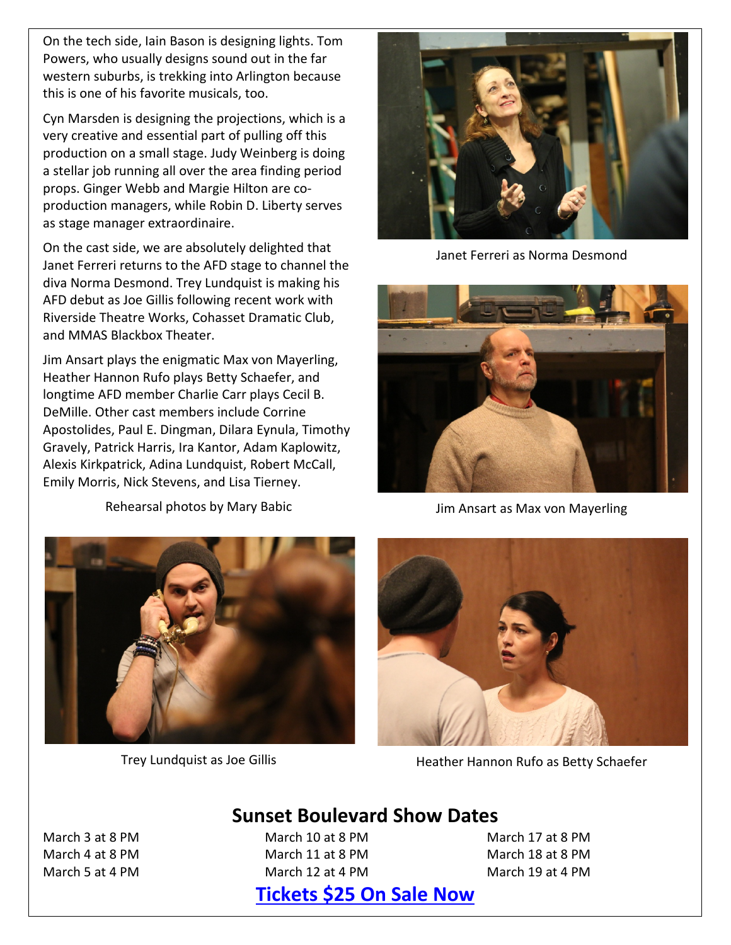On the tech side, Iain Bason is designing lights. Tom Powers, who usually designs sound out in the far western suburbs, is trekking into Arlington because this is one of his favorite musicals, too.

Cyn Marsden is designing the projections, which is a very creative and essential part of pulling off this production on a small stage. Judy Weinberg is doing a stellar job running all over the area finding period props. Ginger Webb and Margie Hilton are coproduction managers, while Robin D. Liberty serves as stage manager extraordinaire.

On the cast side, we are absolutely delighted that Janet Ferreri returns to the AFD stage to channel the diva Norma Desmond. Trey Lundquist is making his AFD debut as Joe Gillis following recent work with Riverside Theatre Works, Cohasset Dramatic Club, and MMAS Blackbox Theater.

Jim Ansart plays the enigmatic Max von Mayerling, Heather Hannon Rufo plays Betty Schaefer, and longtime AFD member Charlie Carr plays Cecil B. DeMille. Other cast members include Corrine Apostolides, Paul E. Dingman, Dilara Eynula, Timothy Gravely, Patrick Harris, Ira Kantor, Adam Kaplowitz, Alexis Kirkpatrick, Adina Lundquist, Robert McCall, Emily Morris, Nick Stevens, and Lisa Tierney.

Rehearsal photos by Mary Babic



Trey Lundquist as Joe Gillis



Janet Ferreri as Norma Desmond



Jim Ansart as Max von Mayerling



Heather Hannon Rufo as Betty Schaefer

#### March 3 at 8 PM March 4 at 8 PM March 5 at 4 PM

March 10 at 8 PM March 11 at 8 PM March 12 at 4 PM

March 17 at 8 PM March 18 at 8 PM March 19 at 4 PM

# **[Tickets \\$25](http://www.ticketstage.com/T/AFD) On Sale Now**

**Sunset Boulevard Show Dates**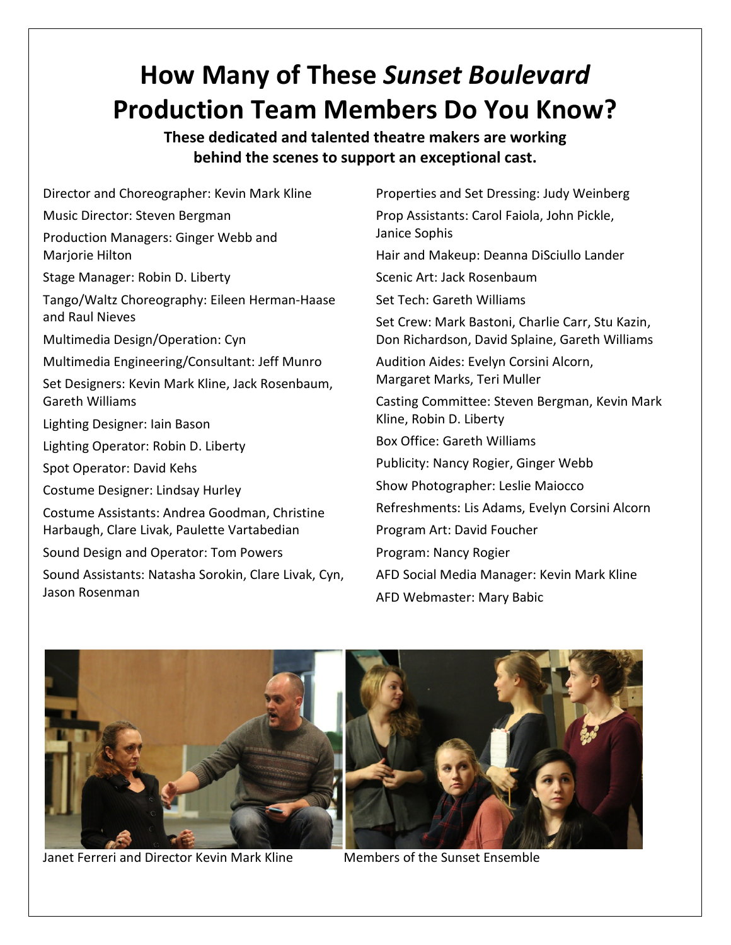# **How Many of These** *Sunset Boulevard* **Production Team Members Do You Know?**

**These dedicated and talented theatre makers are working behind the scenes to support an exceptional cast.**

Director and Choreographer: Kevin Mark Kline Music Director: Steven Bergman Production Managers: Ginger Webb and Marjorie Hilton Stage Manager: Robin D. Liberty Tango/Waltz Choreography: Eileen Herman-Haase and Raul Nieves Multimedia Design/Operation: Cyn Multimedia Engineering/Consultant: Jeff Munro Set Designers: Kevin Mark Kline, Jack Rosenbaum, Gareth Williams Lighting Designer: Iain Bason Lighting Operator: Robin D. Liberty Spot Operator: David Kehs Costume Designer: Lindsay Hurley Costume Assistants: Andrea Goodman, Christine Harbaugh, Clare Livak, Paulette Vartabedian Sound Design and Operator: Tom Powers Sound Assistants: Natasha Sorokin, Clare Livak, Cyn, Jason Rosenman

Properties and Set Dressing: Judy Weinberg Prop Assistants: Carol Faiola, John Pickle, Janice Sophis Hair and Makeup: Deanna DiSciullo Lander Scenic Art: Jack Rosenbaum Set Tech: Gareth Williams Set Crew: Mark Bastoni, Charlie Carr, Stu Kazin, Don Richardson, David Splaine, Gareth Williams Audition Aides: Evelyn Corsini Alcorn, Margaret Marks, Teri Muller Casting Committee: Steven Bergman, Kevin Mark Kline, Robin D. Liberty Box Office: Gareth Williams Publicity: Nancy Rogier, Ginger Webb Show Photographer: Leslie Maiocco Refreshments: Lis Adams, Evelyn Corsini Alcorn Program Art: David Foucher Program: Nancy Rogier AFD Social Media Manager: Kevin Mark Kline AFD Webmaster: Mary Babic



Janet Ferreri and Director Kevin Mark Kline Members of the Sunset Ensemble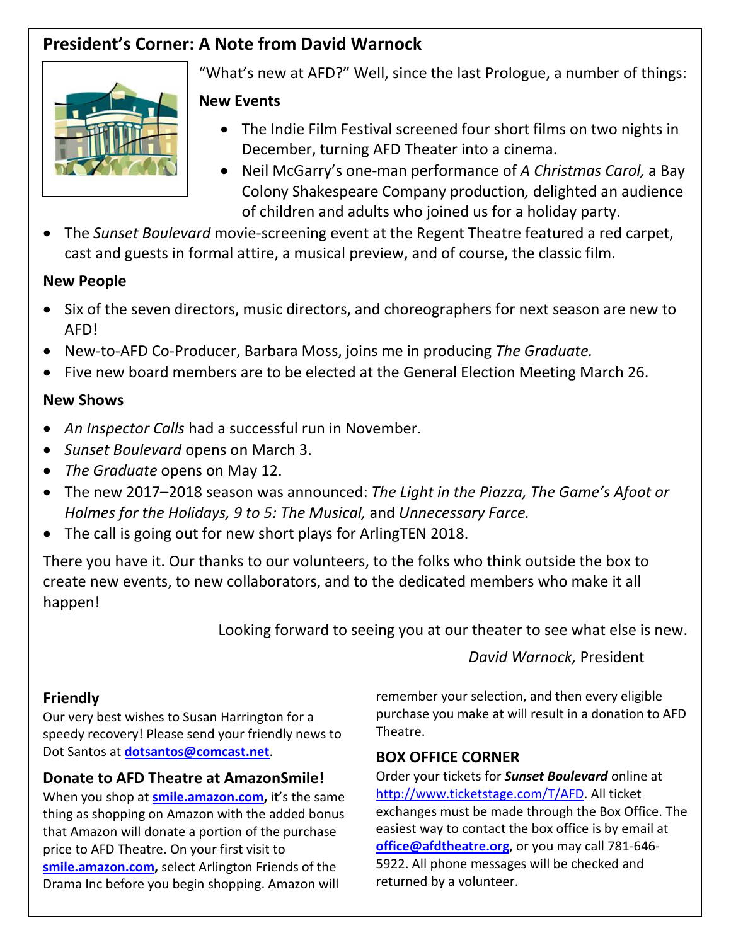# **President's Corner: A Note from David Warnock**



"What's new at AFD?" Well, since the last Prologue, a number of things:

### **New Events**

- The Indie Film Festival screened four short films on two nights in December, turning AFD Theater into a cinema.
- Neil McGarry's one-man performance of *A Christmas Carol,* a Bay Colony Shakespeare Company production*,* delighted an audience of children and adults who joined us for a holiday party.
- The *Sunset Boulevard* movie-screening event at the Regent Theatre featured a red carpet, cast and guests in formal attire, a musical preview, and of course, the classic film.

### **New People**

- Six of the seven directors, music directors, and choreographers for next season are new to AFD!
- New-to-AFD Co-Producer, Barbara Moss, joins me in producing *The Graduate.*
- Five new board members are to be elected at the General Election Meeting March 26.

### **New Shows**

- *An Inspector Calls* had a successful run in November.
- *Sunset Boulevard* opens on March 3.
- *The Graduate* opens on May 12.
- The new 2017–2018 season was announced: *The Light in the Piazza, The Game's Afoot or Holmes for the Holidays, 9 to 5: The Musical,* and *Unnecessary Farce.*
- The call is going out for new short plays for ArlingTEN 2018.

There you have it. Our thanks to our volunteers, to the folks who think outside the box to create new events, to new collaborators, and to the dedicated members who make it all happen!

Looking forward to seeing you at our theater to see what else is new.

*David Warnock,* President

# **Friendly**

Our very best wishes to Susan Harrington for a speedy recovery! Please send your friendly news to Dot Santos at **[dotsantos@comcast.net](mailto:dotsantos@comcast.net)**.

# **Donate to AFD Theatre at AmazonSmile!**

When you shop at **[smile.amazon.com,](https://smile.amazon.com/)** it's the same thing as shopping on Amazon with the added bonus that Amazon will donate a portion of the purchase price to AFD Theatre. On your first visit to **[smile.amazon.com,](https://smile.amazon.com/)** select Arlington Friends of the Drama Inc before you begin shopping. Amazon will

remember your selection, and then every eligible purchase you make at will result in a donation to AFD Theatre.

# **BOX OFFICE CORNER**

Order your tickets for *Sunset Boulevard* online at [http://www.ticketstage.com/T/AFD.](http://www.ticketstage.com/T/AFD) All ticket exchanges must be made through the Box Office. The easiest way to contact the box office is by email at **office@afdtheatre.org,** or you may call 781-646- 5922. All phone messages will be checked and returned by a volunteer.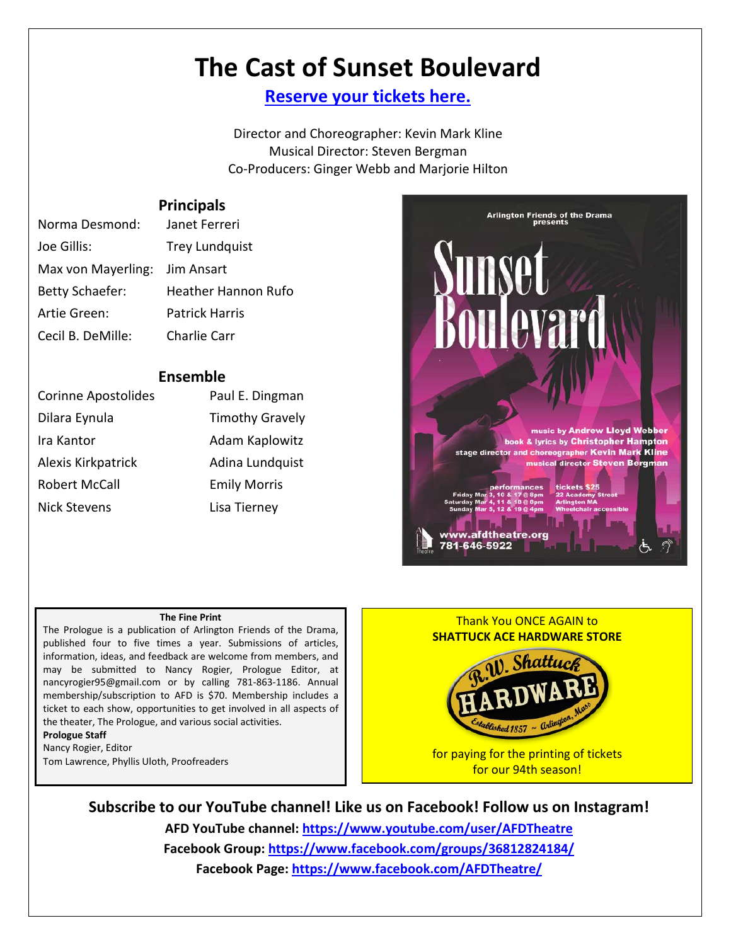# **The Cast of Sunset Boulevard**

**[Reserve your tickets here.](http://www.ticketstage.com/T/AFD)**

Director and Choreographer: Kevin Mark Kline Musical Director: Steven Bergman Co-Producers: Ginger Webb and Marjorie Hilton

#### **Principals**

| Norma Desmond:                | Janet Ferreri              |
|-------------------------------|----------------------------|
| Joe Gillis:                   | <b>Trey Lundquist</b>      |
| Max von Mayerling: Jim Ansart |                            |
| <b>Betty Schaefer:</b>        | <b>Heather Hannon Rufo</b> |
| Artie Green:                  | <b>Patrick Harris</b>      |
| Cecil B. DeMille:             | Charlie Carr               |

#### **Ensemble**

| <b>Corinne Apostolides</b> | Paul E. Dingman        |  |
|----------------------------|------------------------|--|
| Dilara Eynula              | <b>Timothy Gravely</b> |  |
| Ira Kantor                 | Adam Kaplowitz         |  |
| Alexis Kirkpatrick         | Adina Lundquist        |  |
| Robert McCall              | <b>Emily Morris</b>    |  |
| <b>Nick Stevens</b>        | Lisa Tierney           |  |



#### **The Fine Print**

The Prologue is a publication of Arlington Friends of the Drama, published four to five times a year. Submissions of articles, information, ideas, and feedback are welcome from members, and may be submitted to Nancy Rogier, Prologue Editor, at nancyrogier95@gmail.com or by calling 781-863-1186. Annual membership/subscription to AFD is \$70. Membership includes a ticket to each show, opportunities to get involved in all aspects of the theater, The Prologue, and various social activities. **Prologue Staff**

Nancy Rogier, Editor Tom Lawrence, Phyllis Uloth, Proofreaders



for our 94th season!

**Subscribe to our YouTube channel! Like us on Facebook! Follow us on Instagram! AFD YouTube channel: <https://www.youtube.com/user/AFDTheatre> Facebook Group:<https://www.facebook.com/groups/36812824184/>**

**Facebook Page:<https://www.facebook.com/AFDTheatre/>**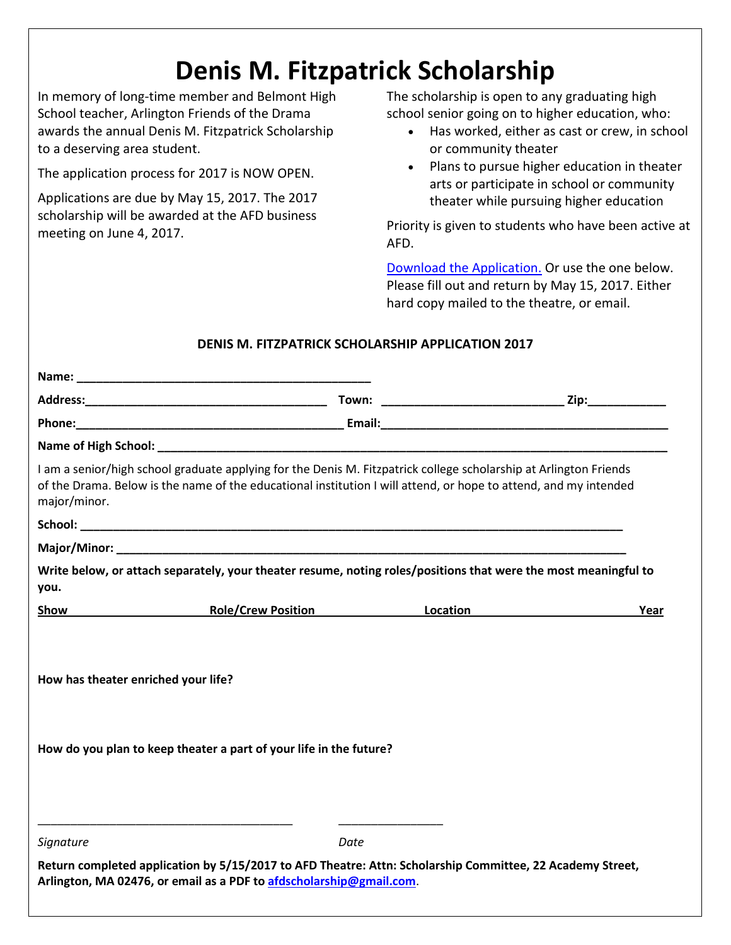# **Denis M. Fitzpatrick Scholarship**

In memory of long-time member and Belmont High School teacher, Arlington Friends of the Drama awards the annual Denis M. Fitzpatrick Scholarship to a deserving area student.

The application process for 2017 is NOW OPEN.

Applications are due by May 15, 2017. The 2017 scholarship will be awarded at the AFD business meeting on June 4, 2017.

The scholarship is open to any graduating high school senior going on to higher education, who:

- Has worked, either as cast or crew, in school or community theater
- Plans to pursue higher education in theater arts or participate in school or community theater while pursuing higher education

Priority is given to students who have been active at AFD.

[Download the Application.](http://media.wix.com/ugd/28e0aa_790835e60e68414dbba76c994d7e6297.docx?dn=Scholarship%20Application%202017%20ECedits.docx) Or use the one below. Please fill out and return by May 15, 2017. Either hard copy mailed to the theatre, or email.

### **DENIS M. FITZPATRICK SCHOLARSHIP APPLICATION 2017**

| major/minor.                        | I am a senior/high school graduate applying for the Denis M. Fitzpatrick college scholarship at Arlington Friends<br>of the Drama. Below is the name of the educational institution I will attend, or hope to attend, and my intended |      |
|-------------------------------------|---------------------------------------------------------------------------------------------------------------------------------------------------------------------------------------------------------------------------------------|------|
|                                     |                                                                                                                                                                                                                                       |      |
|                                     |                                                                                                                                                                                                                                       |      |
| you.                                | Write below, or attach separately, your theater resume, noting roles/positions that were the most meaningful to                                                                                                                       |      |
| Show                                | Role/Crew Position <b>Contact Contact Location Contact Contact Contact Contact Contact Contact Contact Contact Contact Contact Contact Contact Contact Contact Contact Contact Contact Contact Contact Contact Contact Contact</b>    | Year |
| How has theater enriched your life? | How do you plan to keep theater a part of your life in the future?                                                                                                                                                                    |      |
| Signature                           | Date<br>Return completed application by 5/15/2017 to AFD Theatre: Attn: Scholarship Committee, 22 Academy Street,<br>Arlington, MA 02476, or email as a PDF to afdscholarship@gmail.com.                                              |      |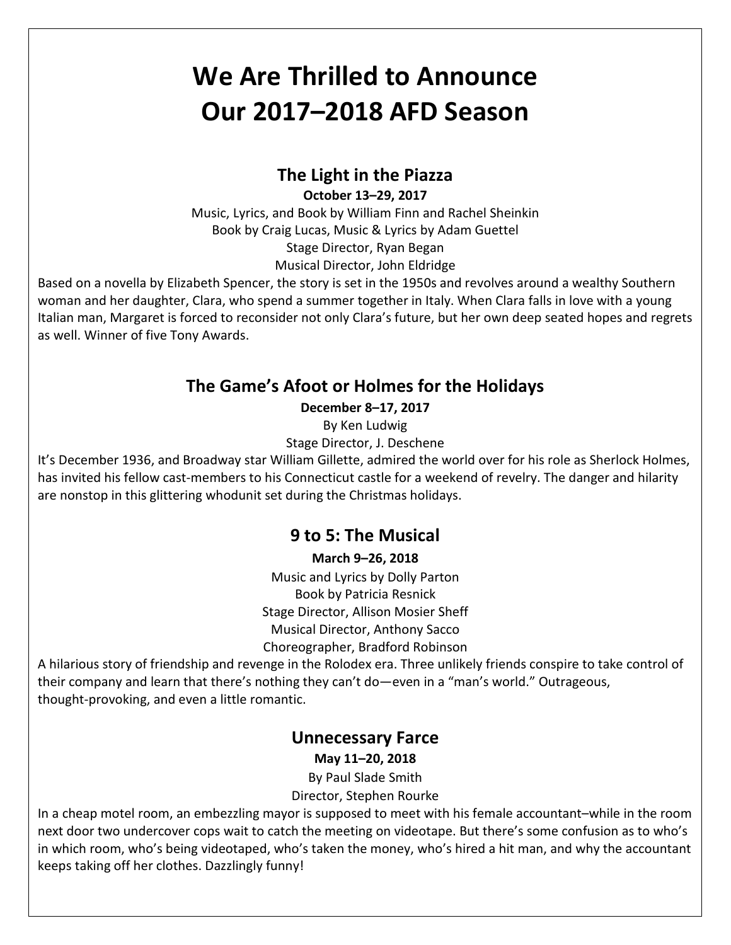# **We Are Thrilled to Announce Our 2017–2018 AFD Season**

# **The Light in the Piazza**

**October 13–29, 2017**

Music, Lyrics, and Book by William Finn and Rachel Sheinkin Book by Craig Lucas, Music & Lyrics by Adam Guettel Stage Director, Ryan Began Musical Director, John Eldridge

Based on a novella by Elizabeth Spencer, the story is set in the 1950s and revolves around a wealthy Southern woman and her daughter, Clara, who spend a summer together in Italy. When Clara falls in love with a young Italian man, Margaret is forced to reconsider not only Clara's future, but her own deep seated hopes and regrets as well. Winner of five Tony Awards.

# **The Game's Afoot or Holmes for the Holidays**

**December 8–17, 2017**

By Ken Ludwig

Stage Director, J. Deschene

It's December 1936, and Broadway star William Gillette, admired the world over for his role as Sherlock Holmes, has invited his fellow cast-members to his Connecticut castle for a weekend of revelry. The danger and hilarity are nonstop in this glittering whodunit set during the Christmas holidays.

# **9 to 5: The Musical**

#### **March 9–26, 2018**

Music and Lyrics by Dolly Parton Book by Patricia Resnick Stage Director, Allison Mosier Sheff Musical Director, Anthony Sacco Choreographer, Bradford Robinson

A hilarious story of friendship and revenge in the Rolodex era. Three unlikely friends conspire to take control of their company and learn that there's nothing they can't do—even in a "man's world." Outrageous, thought-provoking, and even a little romantic.

# **Unnecessary Farce**

**May 11–20, 2018**

By Paul Slade Smith

Director, Stephen Rourke

In a cheap motel room, an embezzling mayor is supposed to meet with his female accountant–while in the room next door two undercover cops wait to catch the meeting on videotape. But there's some confusion as to who's in which room, who's being videotaped, who's taken the money, who's hired a hit man, and why the accountant keeps taking off her clothes. Dazzlingly funny!